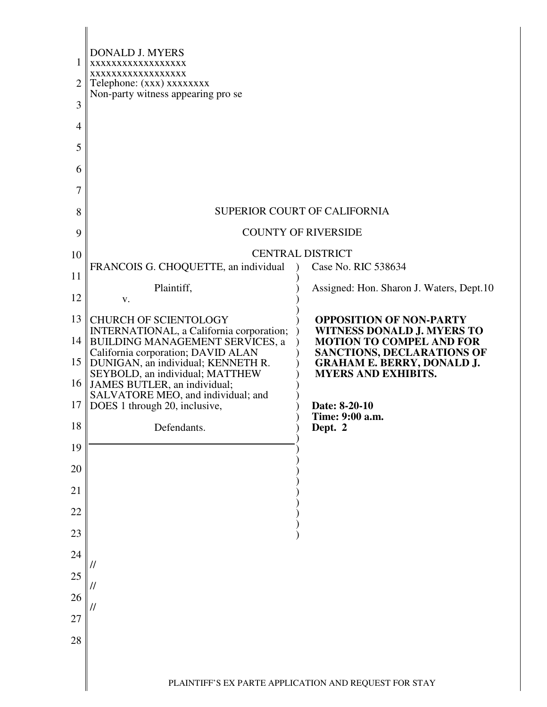| 1<br>2<br>3<br>4<br>5 | <b>DONALD J. MYERS</b><br>XXXXXXXXXXXXXXXXX<br>XXXXXXXXXXXXXXXXX<br>Telephone: (xxx) xxxxxxxx<br>Non-party witness appearing pro se |                                                                      |
|-----------------------|-------------------------------------------------------------------------------------------------------------------------------------|----------------------------------------------------------------------|
| 6                     |                                                                                                                                     |                                                                      |
| 7                     |                                                                                                                                     |                                                                      |
| 8                     |                                                                                                                                     | SUPERIOR COURT OF CALIFORNIA                                         |
| 9                     |                                                                                                                                     | <b>COUNTY OF RIVERSIDE</b>                                           |
| 10                    | FRANCOIS G. CHOQUETTE, an individual                                                                                                | <b>CENTRAL DISTRICT</b><br>Case No. RIC 538634                       |
| 11                    | Plaintiff,                                                                                                                          | Assigned: Hon. Sharon J. Waters, Dept.10                             |
| 12                    | V.                                                                                                                                  |                                                                      |
| 13                    | <b>CHURCH OF SCIENTOLOGY</b><br>INTERNATIONAL, a California corporation;                                                            | <b>OPPOSITION OF NON-PARTY</b><br><b>WITNESS DONALD J. MYERS TO</b>  |
|                       | 14 BUILDING MANAGEMENT SERVICES, a<br>California corporation; DAVID ALAN                                                            | <b>MOTION TO COMPEL AND FOR</b><br><b>SANCTIONS, DECLARATIONS OF</b> |
| 15 <sup>1</sup>       | DUNIGAN, an individual; KENNETH R.<br>SEYBOLD, an individual; MATTHEW<br>16 JAMES BUTLER, an individual;                            | <b>GRAHAM E. BERRY, DONALD J.</b><br><b>MYERS AND EXHIBITS.</b>      |
| 17                    | SALVATORE MEO, and individual; and<br>DOES 1 through 20, inclusive,                                                                 | Date: 8-20-10                                                        |
| 18                    | Defendants.                                                                                                                         | Time: 9:00 a.m.<br>Dept. 2                                           |
| 19                    |                                                                                                                                     |                                                                      |
| 20                    |                                                                                                                                     |                                                                      |
| 21                    |                                                                                                                                     |                                                                      |
| 22                    |                                                                                                                                     |                                                                      |
| 23                    |                                                                                                                                     |                                                                      |
| 24                    | //                                                                                                                                  |                                                                      |
| 25                    | //                                                                                                                                  |                                                                      |
| 26                    | //                                                                                                                                  |                                                                      |
| 27                    |                                                                                                                                     |                                                                      |
| 28                    |                                                                                                                                     |                                                                      |
|                       |                                                                                                                                     | PLAINTIFF'S EX PARTE APPLICATION AND REQUEST FOR STAY                |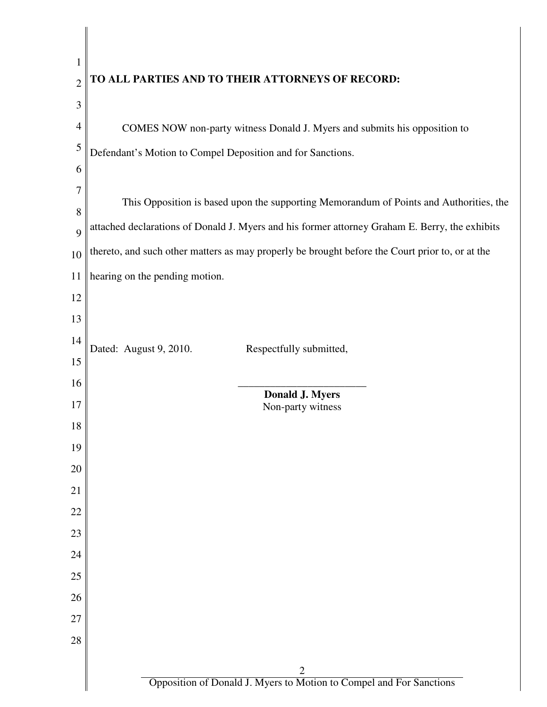| $\mathbf{1}$   |                                                                                                 |
|----------------|-------------------------------------------------------------------------------------------------|
| $\overline{2}$ | TO ALL PARTIES AND TO THEIR ATTORNEYS OF RECORD:                                                |
| 3              |                                                                                                 |
| 4              | COMES NOW non-party witness Donald J. Myers and submits his opposition to                       |
| 5              | Defendant's Motion to Compel Deposition and for Sanctions.                                      |
| 6              |                                                                                                 |
| 7              | This Opposition is based upon the supporting Memorandum of Points and Authorities, the          |
| 8              | attached declarations of Donald J. Myers and his former attorney Graham E. Berry, the exhibits  |
| 9              |                                                                                                 |
| 10             | thereto, and such other matters as may properly be brought before the Court prior to, or at the |
| 11             | hearing on the pending motion.                                                                  |
| 12             |                                                                                                 |
| 13             |                                                                                                 |
| 14             | Dated: August 9, 2010.<br>Respectfully submitted,                                               |
| 15             |                                                                                                 |
| 16<br>17       | <b>Donald J. Myers</b>                                                                          |
| 18             | Non-party witness                                                                               |
| 19             |                                                                                                 |
| 20             |                                                                                                 |
| 21             |                                                                                                 |
| 22             |                                                                                                 |
| 23             |                                                                                                 |
| 24             |                                                                                                 |
| 25             |                                                                                                 |
| 26             |                                                                                                 |
| 27             |                                                                                                 |
| 28             |                                                                                                 |
|                |                                                                                                 |
|                | $\frac{2}{\text{Opposition of Donald J. Myers to Motion to Compel and For Sanctions}}$          |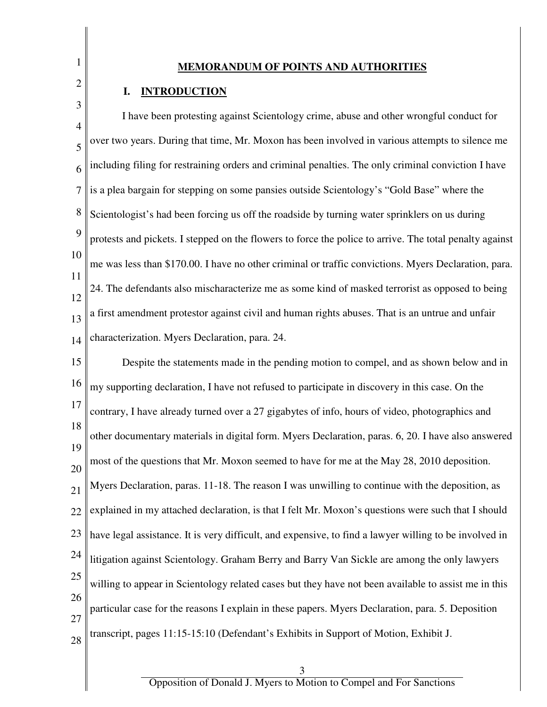1 2

3

## **MEMORANDUM OF POINTS AND AUTHORITIES**

## **I. INTRODUCTION**

4 5 6 7 8 9 10 11 12 13 14 I have been protesting against Scientology crime, abuse and other wrongful conduct for over two years. During that time, Mr. Moxon has been involved in various attempts to silence me including filing for restraining orders and criminal penalties. The only criminal conviction I have is a plea bargain for stepping on some pansies outside Scientology's "Gold Base" where the Scientologist's had been forcing us off the roadside by turning water sprinklers on us during protests and pickets. I stepped on the flowers to force the police to arrive. The total penalty against me was less than \$170.00. I have no other criminal or traffic convictions. Myers Declaration, para. 24. The defendants also mischaracterize me as some kind of masked terrorist as opposed to being a first amendment protestor against civil and human rights abuses. That is an untrue and unfair characterization. Myers Declaration, para. 24.

15 16 17 18 19 20 21 22 23 24 25 26 27 28 Despite the statements made in the pending motion to compel, and as shown below and in my supporting declaration, I have not refused to participate in discovery in this case. On the contrary, I have already turned over a 27 gigabytes of info, hours of video, photographics and other documentary materials in digital form. Myers Declaration, paras. 6, 20. I have also answered most of the questions that Mr. Moxon seemed to have for me at the May 28, 2010 deposition. Myers Declaration, paras. 11-18. The reason I was unwilling to continue with the deposition, as explained in my attached declaration, is that I felt Mr. Moxon's questions were such that I should have legal assistance. It is very difficult, and expensive, to find a lawyer willing to be involved in litigation against Scientology. Graham Berry and Barry Van Sickle are among the only lawyers willing to appear in Scientology related cases but they have not been available to assist me in this particular case for the reasons I explain in these papers. Myers Declaration, para. 5. Deposition transcript, pages 11:15-15:10 (Defendant's Exhibits in Support of Motion, Exhibit J.

3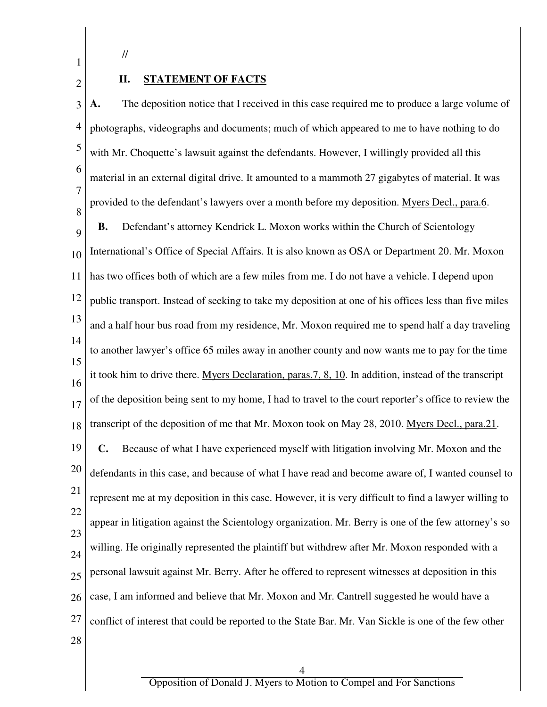//

1

2

## **II. STATEMENT OF FACTS**

3 4 5 6 7 8 9 10 11 12 13 14 15 16 17 18 19 20 21 22 23 24 25 26 27 28 **A.** The deposition notice that I received in this case required me to produce a large volume of photographs, videographs and documents; much of which appeared to me to have nothing to do with Mr. Choquette's lawsuit against the defendants. However, I willingly provided all this material in an external digital drive. It amounted to a mammoth 27 gigabytes of material. It was provided to the defendant's lawyers over a month before my deposition. Myers Decl., para.6. **B.** Defendant's attorney Kendrick L. Moxon works within the Church of Scientology International's Office of Special Affairs. It is also known as OSA or Department 20. Mr. Moxon has two offices both of which are a few miles from me. I do not have a vehicle. I depend upon public transport. Instead of seeking to take my deposition at one of his offices less than five miles and a half hour bus road from my residence, Mr. Moxon required me to spend half a day traveling to another lawyer's office 65 miles away in another county and now wants me to pay for the time it took him to drive there. Myers Declaration, paras.7, 8, 10. In addition, instead of the transcript of the deposition being sent to my home, I had to travel to the court reporter's office to review the transcript of the deposition of me that Mr. Moxon took on May 28, 2010. Myers Decl., para.21. **C.** Because of what I have experienced myself with litigation involving Mr. Moxon and the defendants in this case, and because of what I have read and become aware of, I wanted counsel to represent me at my deposition in this case. However, it is very difficult to find a lawyer willing to appear in litigation against the Scientology organization. Mr. Berry is one of the few attorney's so willing. He originally represented the plaintiff but withdrew after Mr. Moxon responded with a personal lawsuit against Mr. Berry. After he offered to represent witnesses at deposition in this case, I am informed and believe that Mr. Moxon and Mr. Cantrell suggested he would have a conflict of interest that could be reported to the State Bar. Mr. Van Sickle is one of the few other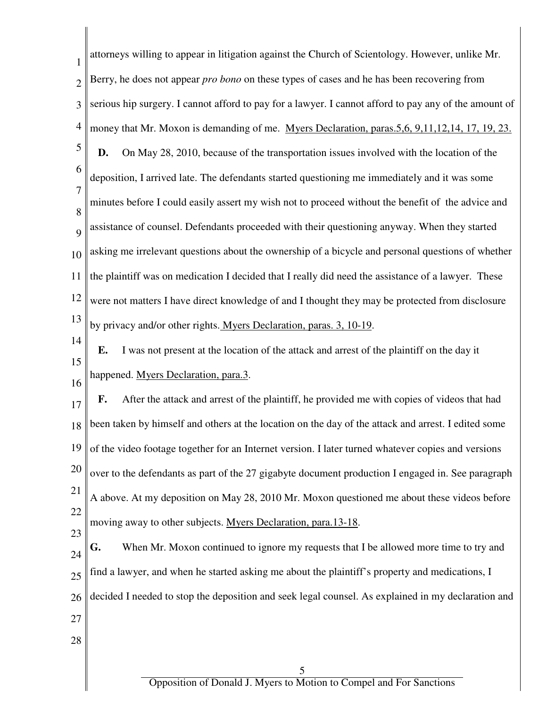| 1                        | attorneys willing to appear in litigation against the Church of Scientology. However, unlike Mr.         |
|--------------------------|----------------------------------------------------------------------------------------------------------|
| $\overline{2}$           | Berry, he does not appear <i>pro bono</i> on these types of cases and he has been recovering from        |
| 3                        | serious hip surgery. I cannot afford to pay for a lawyer. I cannot afford to pay any of the amount of    |
| $\overline{\mathcal{A}}$ | money that Mr. Moxon is demanding of me. Myers Declaration, paras.5,6, 9,11,12,14, 17, 19, 23.           |
| 5                        | On May 28, 2010, because of the transportation issues involved with the location of the<br>D.            |
| 6                        | deposition, I arrived late. The defendants started questioning me immediately and it was some            |
| 7                        | minutes before I could easily assert my wish not to proceed without the benefit of the advice and        |
| 8<br>9                   | assistance of counsel. Defendants proceeded with their questioning anyway. When they started             |
| 10                       | asking me irrelevant questions about the ownership of a bicycle and personal questions of whether        |
| 11                       | the plaintiff was on medication I decided that I really did need the assistance of a lawyer. These       |
| 12                       | were not matters I have direct knowledge of and I thought they may be protected from disclosure          |
| 13                       | by privacy and/or other rights. Myers Declaration, paras. 3, 10-19.                                      |
| 14                       | I was not present at the location of the attack and arrest of the plaintiff on the day it<br>Е.          |
| 15                       | happened. Myers Declaration, para.3.                                                                     |
| 16                       | After the attack and arrest of the plaintiff, he provided me with copies of videos that had<br>F.        |
| 17                       | 18   been taken by himself and others at the location on the day of the attack and arrest. I edited some |
| 19                       | of the video footage together for an Internet version. I later turned whatever copies and versions       |
| 20                       | over to the defendants as part of the 27 gigabyte document production I engaged in. See paragraph        |
| 21                       |                                                                                                          |
| 22                       | A above. At my deposition on May 28, 2010 Mr. Moxon questioned me about these videos before              |
| 23                       | moving away to other subjects. Myers Declaration, para.13-18.                                            |
| 24                       | When Mr. Moxon continued to ignore my requests that I be allowed more time to try and<br>G.              |
| 25                       | find a lawyer, and when he started asking me about the plaintiff's property and medications, I           |
| 26                       | decided I needed to stop the deposition and seek legal counsel. As explained in my declaration and       |
| 27                       |                                                                                                          |
| 28                       |                                                                                                          |
|                          | 5                                                                                                        |
|                          | Opposition of Donald J. Myers to Motion to Compel and For Sanctions                                      |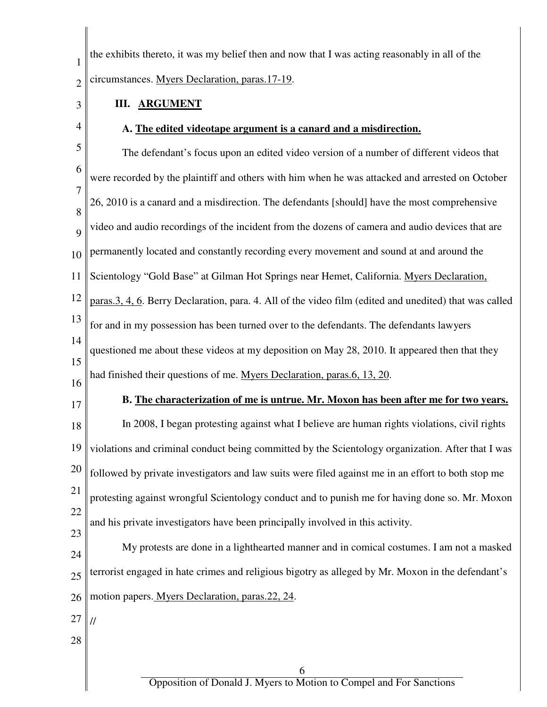| $\mathbf{1}$                                 | the exhibits thereto, it was my belief then and now that I was acting reasonably in all of the         |
|----------------------------------------------|--------------------------------------------------------------------------------------------------------|
| $\overline{2}$                               | circumstances. Myers Declaration, paras.17-19.                                                         |
| 3                                            | <b>III. ARGUMENT</b>                                                                                   |
| 4                                            | A. The edited videotape argument is a canard and a misdirection.                                       |
| 5                                            | The defendant's focus upon an edited video version of a number of different videos that                |
| 6                                            | were recorded by the plaintiff and others with him when he was attacked and arrested on October        |
| $\overline{7}$                               | 26, 2010 is a canard and a misdirection. The defendants [should] have the most comprehensive           |
| 8<br>9                                       | video and audio recordings of the incident from the dozens of camera and audio devices that are        |
| 10                                           | permanently located and constantly recording every movement and sound at and around the                |
| 11                                           | Scientology "Gold Base" at Gilman Hot Springs near Hemet, California. Myers Declaration,               |
| 12                                           | paras.3, 4, 6. Berry Declaration, para. 4. All of the video film (edited and unedited) that was called |
| 13                                           | for and in my possession has been turned over to the defendants. The defendants lawyers                |
| 14                                           | questioned me about these videos at my deposition on May 28, 2010. It appeared then that they          |
| 15                                           |                                                                                                        |
|                                              | had finished their questions of me. Myers Declaration, paras.6, 13, 20.                                |
|                                              | B. The characterization of me is untrue. Mr. Moxon has been after me for two years.                    |
|                                              | In 2008, I began protesting against what I believe are human rights violations, civil rights           |
|                                              | violations and criminal conduct being committed by the Scientology organization. After that I was      |
|                                              | followed by private investigators and law suits were filed against me in an effort to both stop me     |
|                                              | protesting against wrongful Scientology conduct and to punish me for having done so. Mr. Moxon         |
|                                              | and his private investigators have been principally involved in this activity.                         |
| 16<br>17<br>18<br>19<br>20<br>21<br>22<br>23 | My protests are done in a lighthearted manner and in comical costumes. I am not a masked               |
| 24                                           | terrorist engaged in hate crimes and religious bigotry as alleged by Mr. Moxon in the defendant's      |
| 25<br>26                                     | motion papers. Myers Declaration, paras.22, 24.                                                        |
| 27                                           |                                                                                                        |
| 28                                           |                                                                                                        |
|                                              | 6<br>Opposition of Donald J. Myers to Motion to Compel and For Sanctions                               |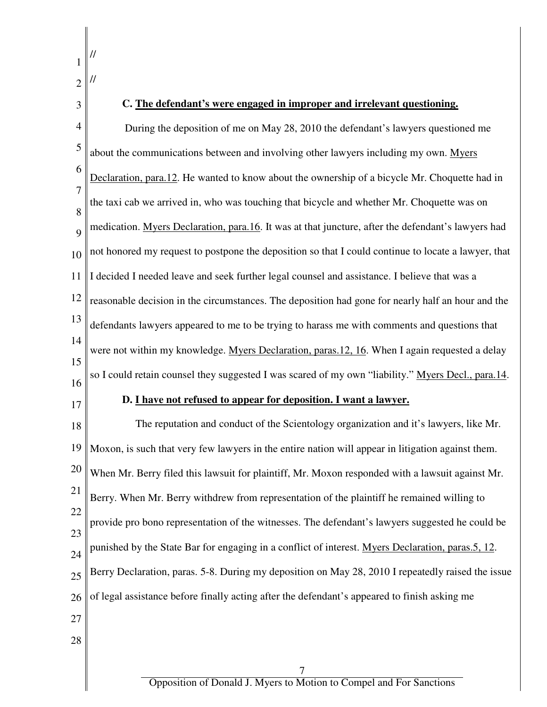| $\overline{2}$ |                                                                                                     |
|----------------|-----------------------------------------------------------------------------------------------------|
| 3              | C. The defendant's were engaged in improper and irrelevant questioning.                             |
| 4              | During the deposition of me on May 28, 2010 the defendant's lawyers questioned me                   |
| 5              | about the communications between and involving other lawyers including my own. Myers                |
| 6              | Declaration, para.12. He wanted to know about the ownership of a bicycle Mr. Choquette had in       |
| 7<br>8         | the taxi cab we arrived in, who was touching that bicycle and whether Mr. Choquette was on          |
| 9              | medication. Myers Declaration, para.16. It was at that juncture, after the defendant's lawyers had  |
| 10             | not honored my request to postpone the deposition so that I could continue to locate a lawyer, that |
| 11             | I decided I needed leave and seek further legal counsel and assistance. I believe that was a        |
| 12             | reasonable decision in the circumstances. The deposition had gone for nearly half an hour and the   |
| 13             | defendants lawyers appeared to me to be trying to harass me with comments and questions that        |
| 14             | were not within my knowledge. Myers Declaration, paras.12, 16. When I again requested a delay       |
| 15<br>16       | so I could retain counsel they suggested I was scared of my own "liability." Myers Decl., para.14.  |
| 17             | D. I have not refused to appear for deposition. I want a lawyer.                                    |
| 18             | The reputation and conduct of the Scientology organization and it's lawyers, like Mr.               |
| 19             | Moxon, is such that very few lawyers in the entire nation will appear in litigation against them.   |
| 20             | When Mr. Berry filed this lawsuit for plaintiff, Mr. Moxon responded with a lawsuit against Mr.     |
| 21             | Berry. When Mr. Berry withdrew from representation of the plaintiff he remained willing to          |
| 22             | provide pro bono representation of the witnesses. The defendant's lawyers suggested he could be     |
| 23<br>24       | punished by the State Bar for engaging in a conflict of interest. Myers Declaration, paras.5, 12.   |
| 25             | Berry Declaration, paras. 5-8. During my deposition on May 28, 2010 I repeatedly raised the issue   |
| 26             | of legal assistance before finally acting after the defendant's appeared to finish asking me        |
| 27             |                                                                                                     |
| 28             |                                                                                                     |
|                | 7                                                                                                   |
|                | Opposition of Donald J. Myers to Motion to Compel and For Sanctions                                 |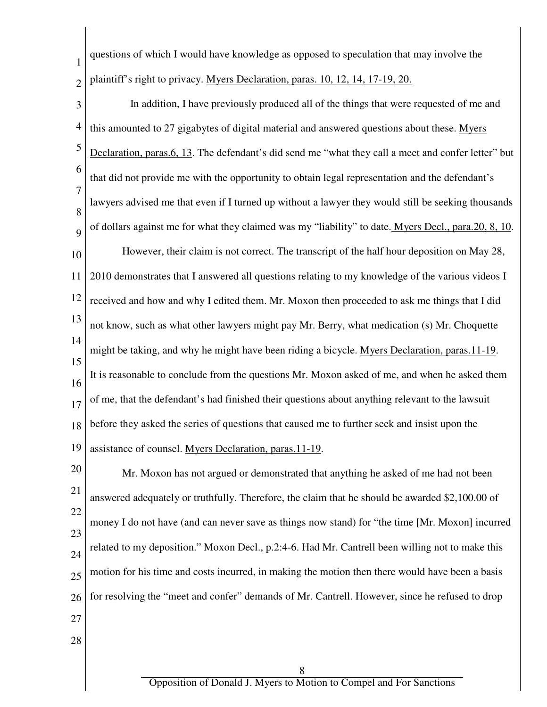questions of which I would have knowledge as opposed to speculation that may involve the plaintiff's right to privacy. Myers Declaration, paras. 10, 12, 14, 17-19, 20.

1

2

3 4 5 6 7 8 9 10 11 12 13 14 15 16 17 18 19 In addition, I have previously produced all of the things that were requested of me and this amounted to 27 gigabytes of digital material and answered questions about these. Myers Declaration, paras.6, 13. The defendant's did send me "what they call a meet and confer letter" but that did not provide me with the opportunity to obtain legal representation and the defendant's lawyers advised me that even if I turned up without a lawyer they would still be seeking thousands of dollars against me for what they claimed was my "liability" to date. Myers Decl., para.20, 8, 10. However, their claim is not correct. The transcript of the half hour deposition on May 28, 2010 demonstrates that I answered all questions relating to my knowledge of the various videos I received and how and why I edited them. Mr. Moxon then proceeded to ask me things that I did not know, such as what other lawyers might pay Mr. Berry, what medication (s) Mr. Choquette might be taking, and why he might have been riding a bicycle. Myers Declaration, paras.11-19. It is reasonable to conclude from the questions Mr. Moxon asked of me, and when he asked them of me, that the defendant's had finished their questions about anything relevant to the lawsuit before they asked the series of questions that caused me to further seek and insist upon the assistance of counsel. Myers Declaration, paras.11-19.

20 21 22 23 24 25 26 27 28 Mr. Moxon has not argued or demonstrated that anything he asked of me had not been answered adequately or truthfully. Therefore, the claim that he should be awarded \$2,100.00 of money I do not have (and can never save as things now stand) for "the time [Mr. Moxon] incurred related to my deposition." Moxon Decl., p.2:4-6. Had Mr. Cantrell been willing not to make this motion for his time and costs incurred, in making the motion then there would have been a basis for resolving the "meet and confer" demands of Mr. Cantrell. However, since he refused to drop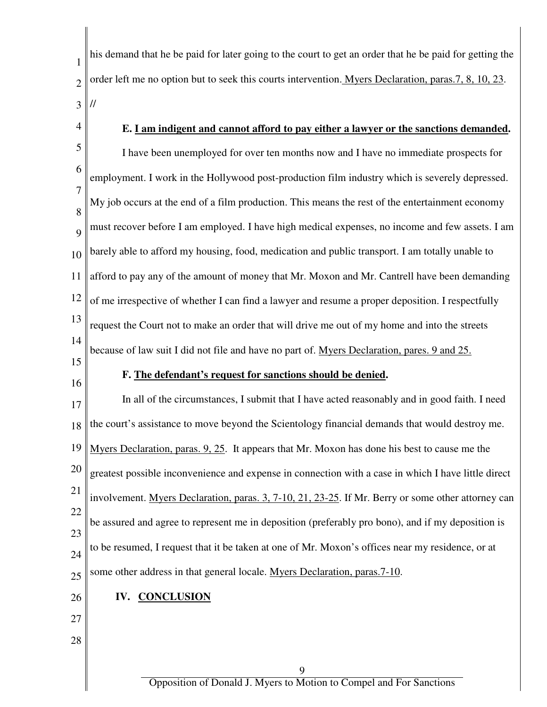1 2 3 his demand that he be paid for later going to the court to get an order that he be paid for getting the order left me no option but to seek this courts intervention. Myers Declaration, paras.7, 8, 10, 23. //

4

## **E. I am indigent and cannot afford to pay either a lawyer or the sanctions demanded.**

5 6 7 8 9 10 11 12 13 14 I have been unemployed for over ten months now and I have no immediate prospects for employment. I work in the Hollywood post-production film industry which is severely depressed. My job occurs at the end of a film production. This means the rest of the entertainment economy must recover before I am employed. I have high medical expenses, no income and few assets. I am barely able to afford my housing, food, medication and public transport. I am totally unable to afford to pay any of the amount of money that Mr. Moxon and Mr. Cantrell have been demanding of me irrespective of whether I can find a lawyer and resume a proper deposition. I respectfully request the Court not to make an order that will drive me out of my home and into the streets because of law suit I did not file and have no part of. Myers Declaration, pares. 9 and 25.

- 15
- 16

#### **F. The defendant's request for sanctions should be denied.**

17 18 19 20 21 22 23 24 25 In all of the circumstances, I submit that I have acted reasonably and in good faith. I need the court's assistance to move beyond the Scientology financial demands that would destroy me. Myers Declaration, paras. 9, 25. It appears that Mr. Moxon has done his best to cause me the greatest possible inconvenience and expense in connection with a case in which I have little direct involvement. Myers Declaration, paras. 3, 7-10, 21, 23-25. If Mr. Berry or some other attorney can be assured and agree to represent me in deposition (preferably pro bono), and if my deposition is to be resumed, I request that it be taken at one of Mr. Moxon's offices near my residence, or at some other address in that general locale. Myers Declaration, paras.7-10.

26

# **IV. CONCLUSION**

27 28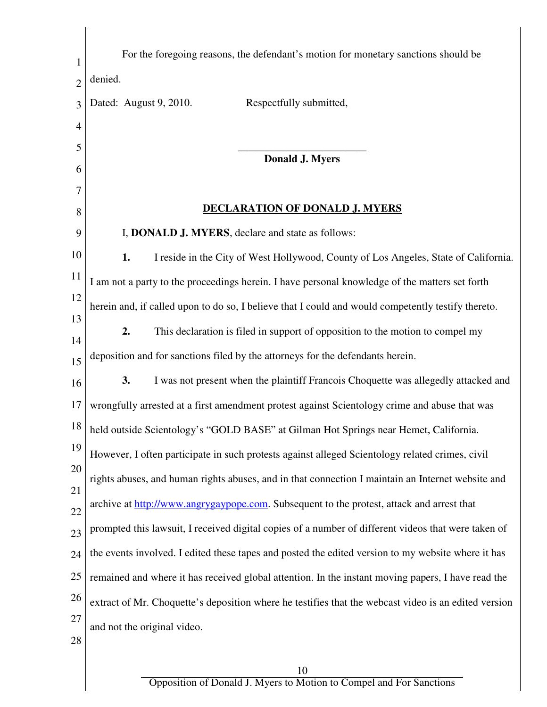| 1              | For the foregoing reasons, the defendant's motion for monetary sanctions should be                   |
|----------------|------------------------------------------------------------------------------------------------------|
| $\overline{2}$ | denied.                                                                                              |
| 3              | Dated: August 9, 2010.<br>Respectfully submitted,                                                    |
| 4              |                                                                                                      |
| 5              | Donald J. Myers                                                                                      |
| 6              |                                                                                                      |
|                |                                                                                                      |
| 8              | <u>DECLARATION OF DONALD J. MYERS</u>                                                                |
| 9              | I, DONALD J. MYERS, declare and state as follows:                                                    |
| 10             | 1.<br>I reside in the City of West Hollywood, County of Los Angeles, State of California.            |
| 11             | I am not a party to the proceedings herein. I have personal knowledge of the matters set forth       |
| 12             | herein and, if called upon to do so, I believe that I could and would competently testify thereto.   |
| 13             | 2.<br>This declaration is filed in support of opposition to the motion to compel my                  |
| 14<br>15       | deposition and for sanctions filed by the attorneys for the defendants herein.                       |
| 16             | 3.<br>I was not present when the plaintiff Francois Choquette was allegedly attacked and             |
| 17             | wrongfully arrested at a first amendment protest against Scientology crime and abuse that was        |
| 18             | held outside Scientology's "GOLD BASE" at Gilman Hot Springs near Hemet, California.                 |
| 19             | However, I often participate in such protests against alleged Scientology related crimes, civil      |
| 20             | rights abuses, and human rights abuses, and in that connection I maintain an Internet website and    |
| 21<br>22       | archive at http://www.angrygaypope.com. Subsequent to the protest, attack and arrest that            |
| 23             | prompted this lawsuit, I received digital copies of a number of different videos that were taken of  |
| 24             | the events involved. I edited these tapes and posted the edited version to my website where it has   |
| 25             | remained and where it has received global attention. In the instant moving papers, I have read the   |
| 26             | extract of Mr. Choquette's deposition where he testifies that the webcast video is an edited version |
| 27             | and not the original video.                                                                          |
| 28             |                                                                                                      |
|                | 10                                                                                                   |

 $\mathsf I$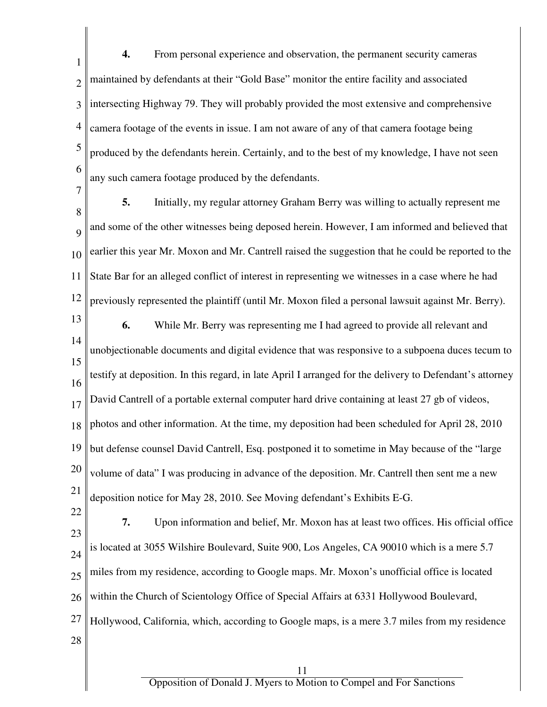1 2 3 4 5 6 **4.** From personal experience and observation, the permanent security cameras maintained by defendants at their "Gold Base" monitor the entire facility and associated intersecting Highway 79. They will probably provided the most extensive and comprehensive camera footage of the events in issue. I am not aware of any of that camera footage being produced by the defendants herein. Certainly, and to the best of my knowledge, I have not seen any such camera footage produced by the defendants.

7

8 9 10 11 12 **5.** Initially, my regular attorney Graham Berry was willing to actually represent me and some of the other witnesses being deposed herein. However, I am informed and believed that earlier this year Mr. Moxon and Mr. Cantrell raised the suggestion that he could be reported to the State Bar for an alleged conflict of interest in representing we witnesses in a case where he had previously represented the plaintiff (until Mr. Moxon filed a personal lawsuit against Mr. Berry).

- 13 14 15 16 17 18 19 20 21 **6.** While Mr. Berry was representing me I had agreed to provide all relevant and unobjectionable documents and digital evidence that was responsive to a subpoena duces tecum to testify at deposition. In this regard, in late April I arranged for the delivery to Defendant's attorney David Cantrell of a portable external computer hard drive containing at least 27 gb of videos, photos and other information. At the time, my deposition had been scheduled for April 28, 2010 but defense counsel David Cantrell, Esq. postponed it to sometime in May because of the "large volume of data" I was producing in advance of the deposition. Mr. Cantrell then sent me a new deposition notice for May 28, 2010. See Moving defendant's Exhibits E-G.
- 22 23 24 25 26 27 28 **7.** Upon information and belief, Mr. Moxon has at least two offices. His official office is located at 3055 Wilshire Boulevard, Suite 900, Los Angeles, CA 90010 which is a mere 5.7 miles from my residence, according to Google maps. Mr. Moxon's unofficial office is located within the Church of Scientology Office of Special Affairs at 6331 Hollywood Boulevard, Hollywood, California, which, according to Google maps, is a mere 3.7 miles from my residence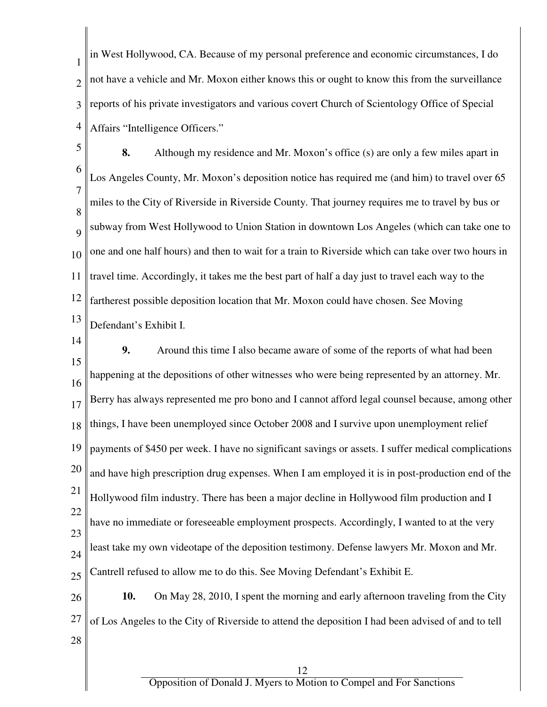1 2 3 4 in West Hollywood, CA. Because of my personal preference and economic circumstances, I do not have a vehicle and Mr. Moxon either knows this or ought to know this from the surveillance reports of his private investigators and various covert Church of Scientology Office of Special Affairs "Intelligence Officers."

5 6 7 8 9 10 11 12 13 **8.** Although my residence and Mr. Moxon's office (s) are only a few miles apart in Los Angeles County, Mr. Moxon's deposition notice has required me (and him) to travel over 65 miles to the City of Riverside in Riverside County. That journey requires me to travel by bus or subway from West Hollywood to Union Station in downtown Los Angeles (which can take one to one and one half hours) and then to wait for a train to Riverside which can take over two hours in travel time. Accordingly, it takes me the best part of half a day just to travel each way to the fartherest possible deposition location that Mr. Moxon could have chosen. See Moving Defendant's Exhibit I.

14

15 16 17 18 19 20 21 22 23 24 25 **9.** Around this time I also became aware of some of the reports of what had been happening at the depositions of other witnesses who were being represented by an attorney. Mr. Berry has always represented me pro bono and I cannot afford legal counsel because, among other things, I have been unemployed since October 2008 and I survive upon unemployment relief payments of \$450 per week. I have no significant savings or assets. I suffer medical complications and have high prescription drug expenses. When I am employed it is in post-production end of the Hollywood film industry. There has been a major decline in Hollywood film production and I have no immediate or foreseeable employment prospects. Accordingly, I wanted to at the very least take my own videotape of the deposition testimony. Defense lawyers Mr. Moxon and Mr. Cantrell refused to allow me to do this. See Moving Defendant's Exhibit E.

26 27 28 **10.** On May 28, 2010, I spent the morning and early afternoon traveling from the City of Los Angeles to the City of Riverside to attend the deposition I had been advised of and to tell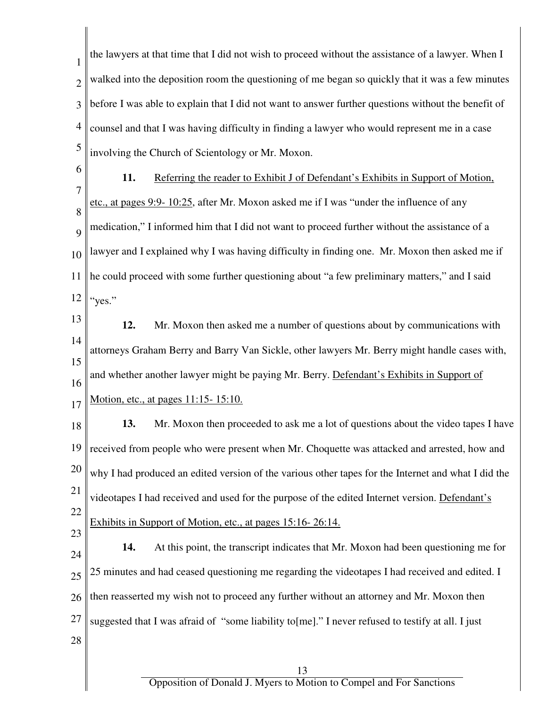1 2 3 4 5 the lawyers at that time that I did not wish to proceed without the assistance of a lawyer. When I walked into the deposition room the questioning of me began so quickly that it was a few minutes before I was able to explain that I did not want to answer further questions without the benefit of counsel and that I was having difficulty in finding a lawyer who would represent me in a case involving the Church of Scientology or Mr. Moxon.

6 7

8

9

10

**11.** Referring the reader to Exhibit J of Defendant's Exhibits in Support of Motion, etc., at pages 9:9- 10:25, after Mr. Moxon asked me if I was "under the influence of any medication," I informed him that I did not want to proceed further without the assistance of a lawyer and I explained why I was having difficulty in finding one. Mr. Moxon then asked me if

11 12 he could proceed with some further questioning about "a few preliminary matters," and I said "yes."

13 14 15 16 17 **12.** Mr. Moxon then asked me a number of questions about by communications with attorneys Graham Berry and Barry Van Sickle, other lawyers Mr. Berry might handle cases with, and whether another lawyer might be paying Mr. Berry. Defendant's Exhibits in Support of Motion, etc., at pages 11:15- 15:10.

18 19 20 21 22 **13.** Mr. Moxon then proceeded to ask me a lot of questions about the video tapes I have received from people who were present when Mr. Choquette was attacked and arrested, how and why I had produced an edited version of the various other tapes for the Internet and what I did the videotapes I had received and used for the purpose of the edited Internet version. Defendant's Exhibits in Support of Motion, etc., at pages 15:16- 26:14.

23

24 25 26 27 28 **14.** At this point, the transcript indicates that Mr. Moxon had been questioning me for 25 minutes and had ceased questioning me regarding the videotapes I had received and edited. I then reasserted my wish not to proceed any further without an attorney and Mr. Moxon then suggested that I was afraid of "some liability to [me]." I never refused to testify at all. I just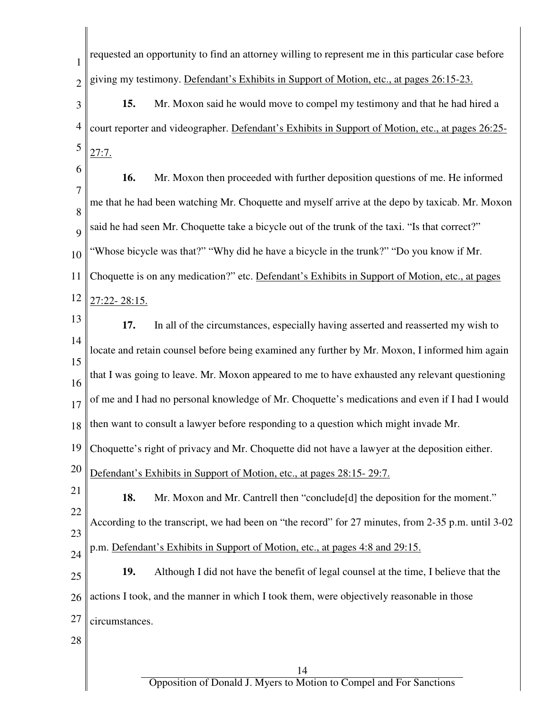| $\mathbf{1}$   | requested an opportunity to find an attorney willing to represent me in this particular case before |
|----------------|-----------------------------------------------------------------------------------------------------|
| $\overline{2}$ | giving my testimony. Defendant's Exhibits in Support of Motion, etc., at pages 26:15-23.            |
| 3              | 15.<br>Mr. Moxon said he would move to compel my testimony and that he had hired a                  |
| $\overline{4}$ | court reporter and videographer. Defendant's Exhibits in Support of Motion, etc., at pages 26:25-   |
| 5              | 27:7.                                                                                               |
| 6              | 16.<br>Mr. Moxon then proceeded with further deposition questions of me. He informed                |
| 7<br>8         | me that he had been watching Mr. Choquette and myself arrive at the depo by taxicab. Mr. Moxon      |
| 9              | said he had seen Mr. Choquette take a bicycle out of the trunk of the taxi. "Is that correct?"      |
| 10             | "Whose bicycle was that?" "Why did he have a bicycle in the trunk?" "Do you know if Mr.             |
| 11             | Choquette is on any medication?" etc. Defendant's Exhibits in Support of Motion, etc., at pages     |
| 12             | 27:22-28:15.                                                                                        |
| 13             | 17.<br>In all of the circumstances, especially having asserted and reasserted my wish to            |
| 14             | locate and retain counsel before being examined any further by Mr. Moxon, I informed him again      |
| 15<br>16       | that I was going to leave. Mr. Moxon appeared to me to have exhausted any relevant questioning      |
| 17             | of me and I had no personal knowledge of Mr. Choquette's medications and even if I had I would      |
| 18             | then want to consult a lawyer before responding to a question which might invade Mr.                |
| 19             | Choquette's right of privacy and Mr. Choquette did not have a lawyer at the deposition either.      |
| 20             | Defendant's Exhibits in Support of Motion, etc., at pages 28:15-29:7.                               |
| 21             | 18.<br>Mr. Moxon and Mr. Cantrell then "conclude[d] the deposition for the moment."                 |
| 22             | According to the transcript, we had been on "the record" for 27 minutes, from 2-35 p.m. until 3-02  |
| 23<br>24       | p.m. Defendant's Exhibits in Support of Motion, etc., at pages 4:8 and 29:15.                       |
| 25             | 19.<br>Although I did not have the benefit of legal counsel at the time, I believe that the         |
| 26             | actions I took, and the manner in which I took them, were objectively reasonable in those           |
| 27             | circumstances.                                                                                      |
| 28             |                                                                                                     |
|                | 14                                                                                                  |
|                | Opposition of Donald J. Myers to Motion to Compel and For Sanctions                                 |

 $\overline{\phantom{a}}$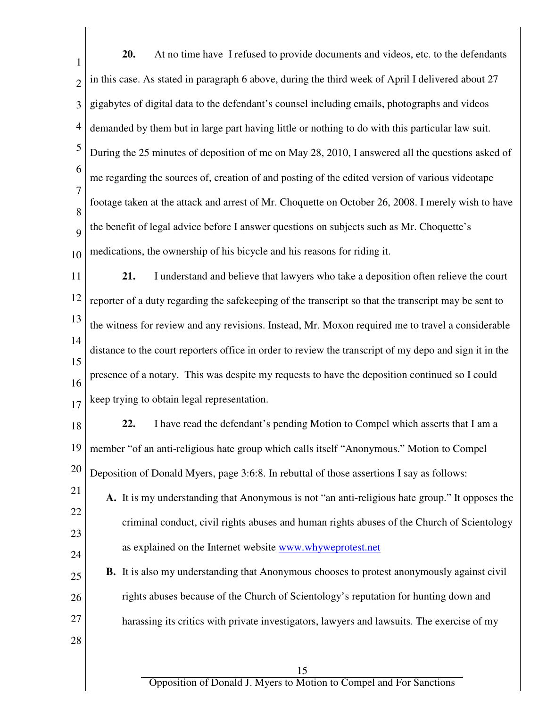| $\mathbf{1}$             | 20.<br>At no time have I refused to provide documents and videos, etc. to the defendants               |
|--------------------------|--------------------------------------------------------------------------------------------------------|
| $\overline{2}$           | in this case. As stated in paragraph 6 above, during the third week of April I delivered about 27      |
| 3                        | gigabytes of digital data to the defendant's counsel including emails, photographs and videos          |
| $\overline{\mathcal{A}}$ | demanded by them but in large part having little or nothing to do with this particular law suit.       |
| 5                        | During the 25 minutes of deposition of me on May 28, 2010, I answered all the questions asked of       |
| 6                        | me regarding the sources of, creation of and posting of the edited version of various videotape        |
| 7<br>8                   | footage taken at the attack and arrest of Mr. Choquette on October 26, 2008. I merely wish to have     |
| 9                        | the benefit of legal advice before I answer questions on subjects such as Mr. Choquette's              |
| 10                       | medications, the ownership of his bicycle and his reasons for riding it.                               |
| 11                       | 21.<br>I understand and believe that lawyers who take a deposition often relieve the court             |
| 12                       | reporter of a duty regarding the safekeeping of the transcript so that the transcript may be sent to   |
| 13                       | the witness for review and any revisions. Instead, Mr. Moxon required me to travel a considerable      |
| 14                       | distance to the court reporters office in order to review the transcript of my depo and sign it in the |
| 15<br>16                 | presence of a notary. This was despite my requests to have the deposition continued so I could         |
| 17                       | keep trying to obtain legal representation.                                                            |
| 18                       | 22. I have read the defendant's pending Motion to Compel which asserts that I am a                     |
| 19                       | member "of an anti-religious hate group which calls itself "Anonymous." Motion to Compel               |
| 20                       | Deposition of Donald Myers, page 3:6:8. In rebuttal of those assertions I say as follows:              |
| 21                       | A. It is my understanding that Anonymous is not "an anti-religious hate group." It opposes the         |
| 22                       | criminal conduct, civil rights abuses and human rights abuses of the Church of Scientology             |
| 23<br>24                 | as explained on the Internet website www.whyweprotest.net                                              |
| 25                       | <b>B.</b> It is also my understanding that Anonymous chooses to protest anonymously against civil      |
| 26                       | rights abuses because of the Church of Scientology's reputation for hunting down and                   |
| 27                       | harassing its critics with private investigators, lawyers and lawsuits. The exercise of my             |
| 28                       |                                                                                                        |
|                          | 15                                                                                                     |
|                          | Opposition of Donald J. Myers to Motion to Compel and For Sanctions                                    |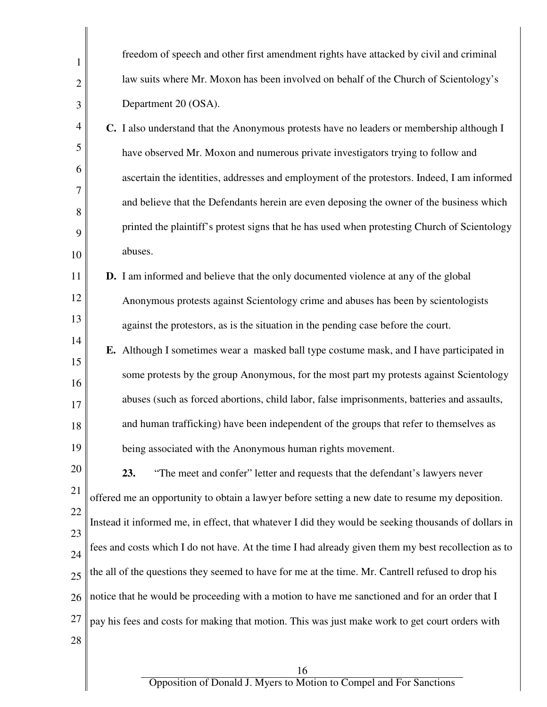| 1              | freedom of speech and other first amendment rights have attacked by civil and criminal               |
|----------------|------------------------------------------------------------------------------------------------------|
| $\overline{2}$ | law suits where Mr. Moxon has been involved on behalf of the Church of Scientology's                 |
| 3              | Department 20 (OSA).                                                                                 |
| 4              | C. I also understand that the Anonymous protests have no leaders or membership although I            |
| 5              | have observed Mr. Moxon and numerous private investigators trying to follow and                      |
| 6              | ascertain the identities, addresses and employment of the protestors. Indeed, I am informed          |
| 7<br>8         | and believe that the Defendants herein are even deposing the owner of the business which             |
| 9              | printed the plaintiff's protest signs that he has used when protesting Church of Scientology         |
| 10             | abuses.                                                                                              |
| 11             | <b>D.</b> I am informed and believe that the only documented violence at any of the global           |
| 12             | Anonymous protests against Scientology crime and abuses has been by scientologists                   |
| 13             | against the protestors, as is the situation in the pending case before the court.                    |
| 14             | E. Although I sometimes wear a masked ball type costume mask, and I have participated in             |
| 15<br>16       | some protests by the group Anonymous, for the most part my protests against Scientology              |
| 17             | abuses (such as forced abortions, child labor, false imprisonments, batteries and assaults,          |
| 18             | and human trafficking) have been independent of the groups that refer to themselves as               |
| 19             | being associated with the Anonymous human rights movement.                                           |
| 20             | 23.<br>"The meet and confer" letter and requests that the defendant's lawyers never                  |
| 21             | offered me an opportunity to obtain a lawyer before setting a new date to resume my deposition.      |
| 22             | Instead it informed me, in effect, that whatever I did they would be seeking thousands of dollars in |
| 23<br>24       | fees and costs which I do not have. At the time I had already given them my best recollection as to  |
| 25             | the all of the questions they seemed to have for me at the time. Mr. Cantrell refused to drop his    |
| 26             | notice that he would be proceeding with a motion to have me sanctioned and for an order that I       |
| 27             | pay his fees and costs for making that motion. This was just make work to get court orders with      |
| 28             |                                                                                                      |
|                |                                                                                                      |

16

 $\mathsf I$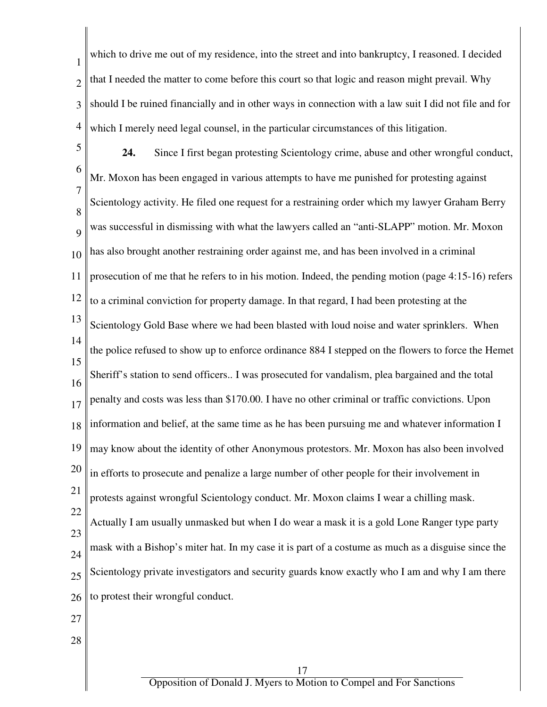1 2 3 4 which to drive me out of my residence, into the street and into bankruptcy, I reasoned. I decided that I needed the matter to come before this court so that logic and reason might prevail. Why should I be ruined financially and in other ways in connection with a law suit I did not file and for which I merely need legal counsel, in the particular circumstances of this litigation.

5 6 7 8 9 10 11 12 13 14 15 16 17 18 19 20 21 22 23 24 25 26 27 **24.** Since I first began protesting Scientology crime, abuse and other wrongful conduct, Mr. Moxon has been engaged in various attempts to have me punished for protesting against Scientology activity. He filed one request for a restraining order which my lawyer Graham Berry was successful in dismissing with what the lawyers called an "anti-SLAPP" motion. Mr. Moxon has also brought another restraining order against me, and has been involved in a criminal prosecution of me that he refers to in his motion. Indeed, the pending motion (page 4:15-16) refers to a criminal conviction for property damage. In that regard, I had been protesting at the Scientology Gold Base where we had been blasted with loud noise and water sprinklers. When the police refused to show up to enforce ordinance 884 I stepped on the flowers to force the Hemet Sheriff's station to send officers.. I was prosecuted for vandalism, plea bargained and the total penalty and costs was less than \$170.00. I have no other criminal or traffic convictions. Upon information and belief, at the same time as he has been pursuing me and whatever information I may know about the identity of other Anonymous protestors. Mr. Moxon has also been involved in efforts to prosecute and penalize a large number of other people for their involvement in protests against wrongful Scientology conduct. Mr. Moxon claims I wear a chilling mask. Actually I am usually unmasked but when I do wear a mask it is a gold Lone Ranger type party mask with a Bishop's miter hat. In my case it is part of a costume as much as a disguise since the Scientology private investigators and security guards know exactly who I am and why I am there to protest their wrongful conduct.

28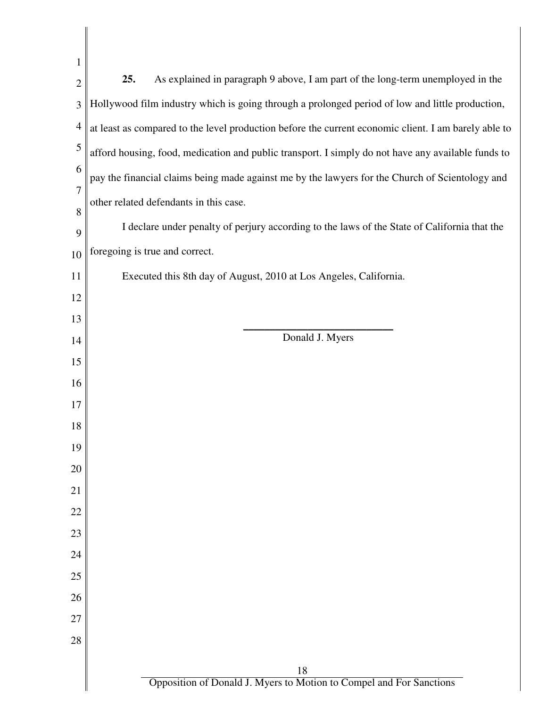| 1                   |                                                                                                      |
|---------------------|------------------------------------------------------------------------------------------------------|
| $\overline{2}$      | As explained in paragraph 9 above, I am part of the long-term unemployed in the<br>25.               |
| 3                   | Hollywood film industry which is going through a prolonged period of low and little production,      |
| $\overline{4}$      | at least as compared to the level production before the current economic client. I am barely able to |
| 5                   | afford housing, food, medication and public transport. I simply do not have any available funds to   |
| 6                   | pay the financial claims being made against me by the lawyers for the Church of Scientology and      |
| $\overline{7}$<br>8 | other related defendants in this case.                                                               |
| 9                   | I declare under penalty of perjury according to the laws of the State of California that the         |
| 10                  | foregoing is true and correct.                                                                       |
| 11                  | Executed this 8th day of August, 2010 at Los Angeles, California.                                    |
| 12                  |                                                                                                      |
| 13                  |                                                                                                      |
| 14                  | Donald J. Myers                                                                                      |
| 15                  |                                                                                                      |
| 16<br>17            |                                                                                                      |
| 18                  |                                                                                                      |
| 19                  |                                                                                                      |
| 20                  |                                                                                                      |
| 21                  |                                                                                                      |
| 22                  |                                                                                                      |
| 23                  |                                                                                                      |
| 24                  |                                                                                                      |
| 25<br>26            |                                                                                                      |
| 27                  |                                                                                                      |
| 28                  |                                                                                                      |
|                     |                                                                                                      |
|                     | 18<br>Opposition of Donald J. Myers to Motion to Compel and For Sanctions                            |
|                     |                                                                                                      |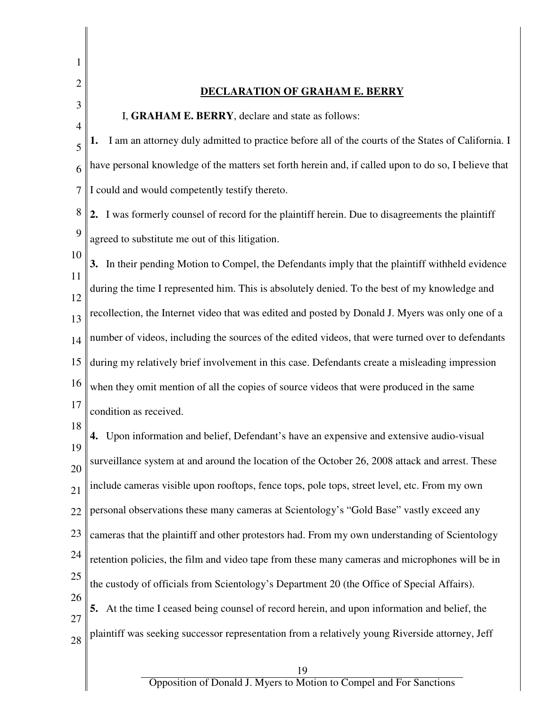1 2 3 4 5 6 7 8 9 10 11 12 13 14 15 16 17 18 19 20 21 22 23 24 25 26 27 28 19 **DECLARATION OF GRAHAM E. BERRY** I, **GRAHAM E. BERRY**, declare and state as follows: **1.** I am an attorney duly admitted to practice before all of the courts of the States of California. I have personal knowledge of the matters set forth herein and, if called upon to do so, I believe that I could and would competently testify thereto. **2.** I was formerly counsel of record for the plaintiff herein. Due to disagreements the plaintiff agreed to substitute me out of this litigation. **3.** In their pending Motion to Compel, the Defendants imply that the plaintiff withheld evidence during the time I represented him. This is absolutely denied. To the best of my knowledge and recollection, the Internet video that was edited and posted by Donald J. Myers was only one of a number of videos, including the sources of the edited videos, that were turned over to defendants during my relatively brief involvement in this case. Defendants create a misleading impression when they omit mention of all the copies of source videos that were produced in the same condition as received. **4.** Upon information and belief, Defendant's have an expensive and extensive audio-visual surveillance system at and around the location of the October 26, 2008 attack and arrest. These include cameras visible upon rooftops, fence tops, pole tops, street level, etc. From my own personal observations these many cameras at Scientology's "Gold Base" vastly exceed any cameras that the plaintiff and other protestors had. From my own understanding of Scientology retention policies, the film and video tape from these many cameras and microphones will be in the custody of officials from Scientology's Department 20 (the Office of Special Affairs). **5.** At the time I ceased being counsel of record herein, and upon information and belief, the plaintiff was seeking successor representation from a relatively young Riverside attorney, Jeff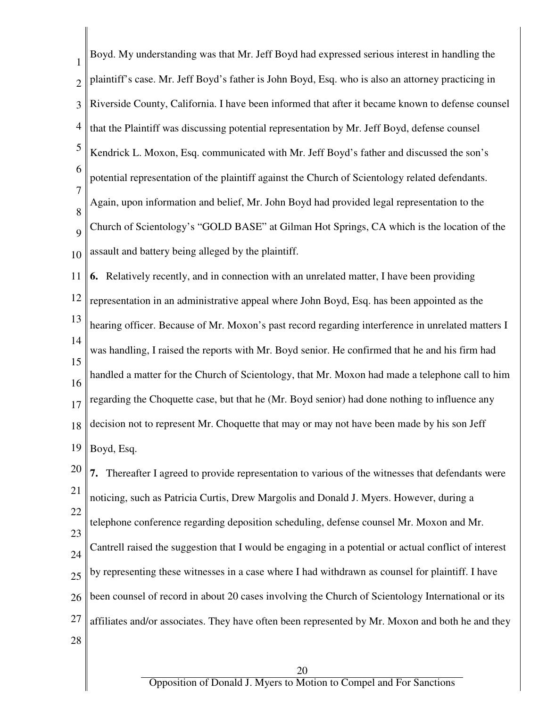| $\mathbf{1}$             | Boyd. My understanding was that Mr. Jeff Boyd had expressed serious interest in handling the          |
|--------------------------|-------------------------------------------------------------------------------------------------------|
| $\overline{2}$           | plaintiff's case. Mr. Jeff Boyd's father is John Boyd, Esq. who is also an attorney practicing in     |
| 3                        | Riverside County, California. I have been informed that after it became known to defense counsel      |
| $\overline{\mathcal{A}}$ | that the Plaintiff was discussing potential representation by Mr. Jeff Boyd, defense counsel          |
| 5                        | Kendrick L. Moxon, Esq. communicated with Mr. Jeff Boyd's father and discussed the son's              |
| 6                        | potential representation of the plaintiff against the Church of Scientology related defendants.       |
| 7<br>8                   | Again, upon information and belief, Mr. John Boyd had provided legal representation to the            |
| 9                        | Church of Scientology's "GOLD BASE" at Gilman Hot Springs, CA which is the location of the            |
| 10                       | assault and battery being alleged by the plaintiff.                                                   |
| 11                       | 6. Relatively recently, and in connection with an unrelated matter, I have been providing             |
| 12                       | representation in an administrative appeal where John Boyd, Esq. has been appointed as the            |
| 13                       | hearing officer. Because of Mr. Moxon's past record regarding interference in unrelated matters I     |
| 14<br>15                 | was handling, I raised the reports with Mr. Boyd senior. He confirmed that he and his firm had        |
| 16                       | handled a matter for the Church of Scientology, that Mr. Moxon had made a telephone call to him       |
| 17                       | regarding the Choquette case, but that he (Mr. Boyd senior) had done nothing to influence any         |
|                          | 18 decision not to represent Mr. Choquette that may or may not have been made by his son Jeff         |
| 19                       | Boyd, Esq.                                                                                            |
| 20                       | 7. Thereafter I agreed to provide representation to various of the witnesses that defendants were     |
| 21                       | noticing, such as Patricia Curtis, Drew Margolis and Donald J. Myers. However, during a               |
| 22                       | telephone conference regarding deposition scheduling, defense counsel Mr. Moxon and Mr.               |
| 23<br>24                 | Cantrell raised the suggestion that I would be engaging in a potential or actual conflict of interest |
| 25                       | by representing these witnesses in a case where I had withdrawn as counsel for plaintiff. I have      |
| 26                       | been counsel of record in about 20 cases involving the Church of Scientology International or its     |
| 27                       | affiliates and/or associates. They have often been represented by Mr. Moxon and both he and they      |
| 28                       |                                                                                                       |
|                          | 20                                                                                                    |

 $\Big\|$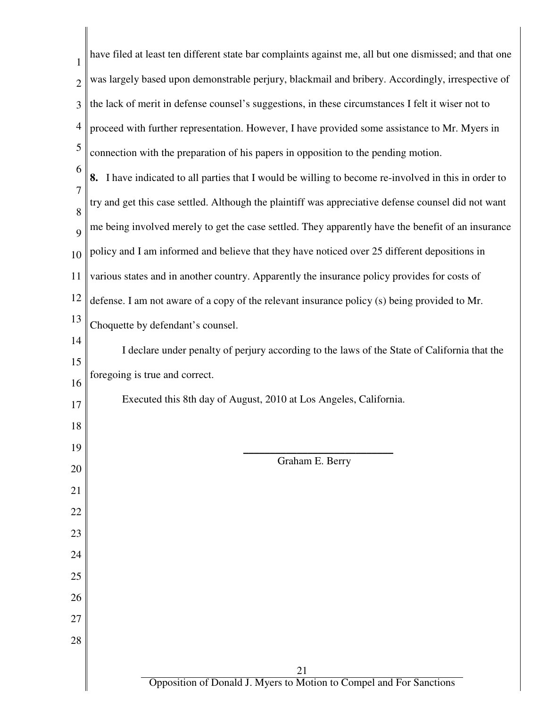| $\mathbf{1}$   | have filed at least ten different state bar complaints against me, all but one dismissed; and that one |
|----------------|--------------------------------------------------------------------------------------------------------|
| $\overline{2}$ | was largely based upon demonstrable perjury, blackmail and bribery. Accordingly, irrespective of       |
| 3              | the lack of merit in defense counsel's suggestions, in these circumstances I felt it wiser not to      |
| 4              | proceed with further representation. However, I have provided some assistance to Mr. Myers in          |
| 5              | connection with the preparation of his papers in opposition to the pending motion.                     |
| 6              | 8. I have indicated to all parties that I would be willing to become re-involved in this in order to   |
| 7              | try and get this case settled. Although the plaintiff was appreciative defense counsel did not want    |
| 8              | me being involved merely to get the case settled. They apparently have the benefit of an insurance     |
| 9<br>10        | policy and I am informed and believe that they have noticed over 25 different depositions in           |
| 11             | various states and in another country. Apparently the insurance policy provides for costs of           |
| 12             | defense. I am not aware of a copy of the relevant insurance policy (s) being provided to Mr.           |
| 13             | Choquette by defendant's counsel.                                                                      |
| 14             | I declare under penalty of perjury according to the laws of the State of California that the           |
| 15             |                                                                                                        |
| 16             | foregoing is true and correct.                                                                         |
| 17             | Executed this 8th day of August, 2010 at Los Angeles, California.                                      |
| 18             |                                                                                                        |
| 19             | Graham E. Berry                                                                                        |
| 20             |                                                                                                        |
| 21             |                                                                                                        |
| 22             |                                                                                                        |
| 23             |                                                                                                        |
| 24             |                                                                                                        |
| 25             |                                                                                                        |
| 26             |                                                                                                        |
| 27             |                                                                                                        |
| 28             |                                                                                                        |
|                | 21                                                                                                     |
|                | Opposition of Donald J. Myers to Motion to Compel and For Sanctions                                    |